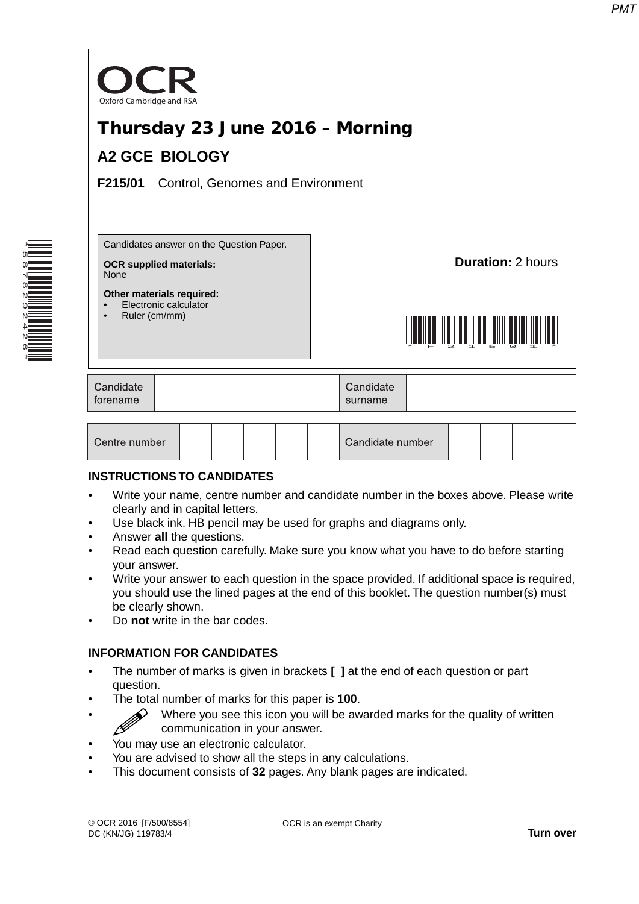

#### **INSTRUCTIONS TO CANDIDATES**

- Write your name, centre number and candidate number in the boxes above. Please write clearly and in capital letters.
- Use black ink. HB pencil may be used for graphs and diagrams only.
- Answer **all** the questions.

\*5878292426\*

- Read each question carefully. Make sure you know what you have to do before starting your answer.
- Write your answer to each question in the space provided. If additional space is required, you should use the lined pages at the end of this booklet. The question number(s) must be clearly shown.
- Do **not** write in the bar codes.

### **INFORMATION FOR CANDIDATES**

- The number of marks is given in brackets **[ ]** at the end of each question or part question.
- The total number of marks for this paper is **100**.
- Where you see this icon you will be awarded marks for the quality of written communication in your answer.
- You may use an electronic calculator.
- You are advised to show all the steps in any calculations.
- This document consists of **32** pages. Any blank pages are indicated.

OCR is an exempt Charity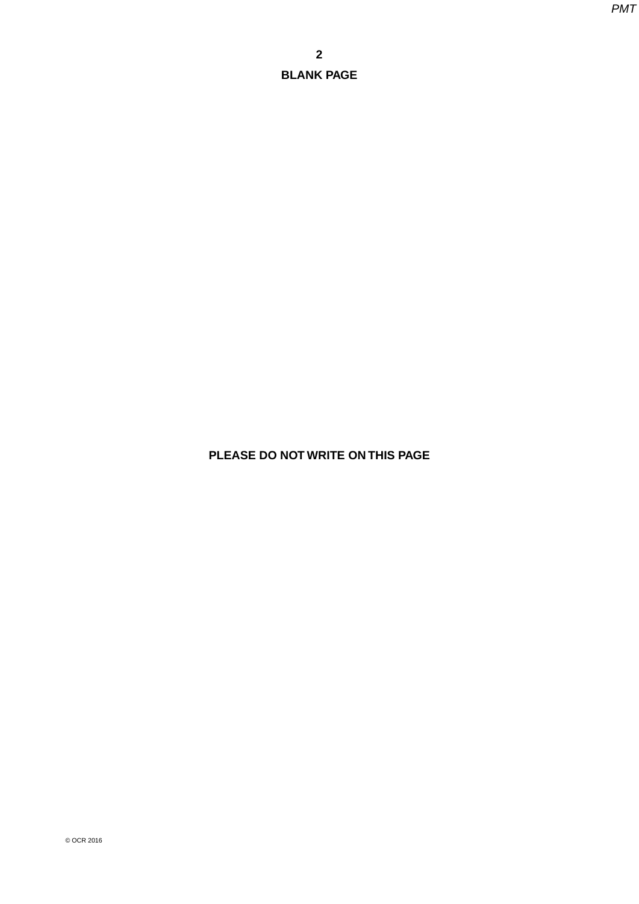**PLEASE DO NOT WRITE ON THIS PAGE**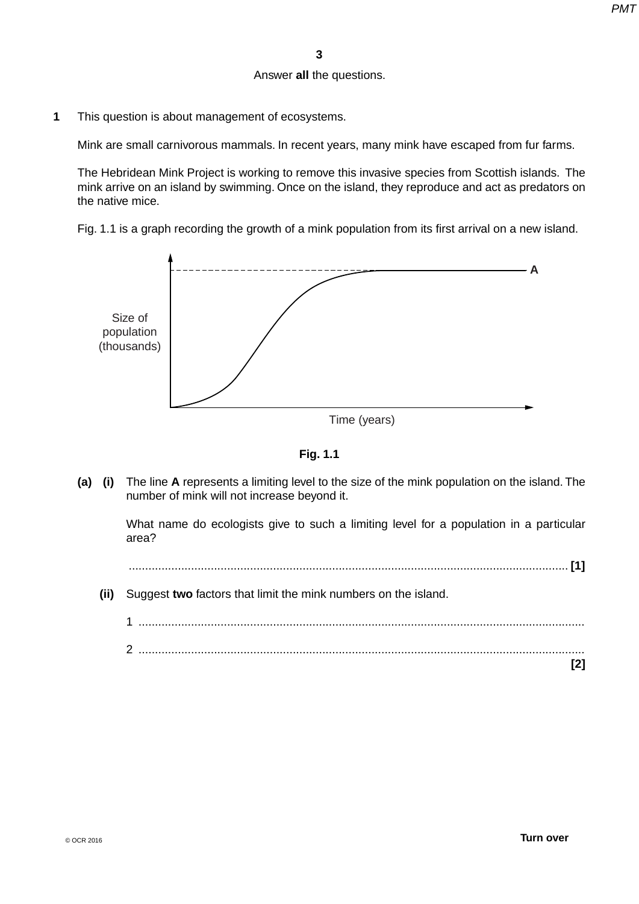## Answer **all** the questions.

**1** This question is about management of ecosystems.

Mink are small carnivorous mammals. In recent years, many mink have escaped from fur farms.

The Hebridean Mink Project is working to remove this invasive species from Scottish islands. The mink arrive on an island by swimming. Once on the island, they reproduce and act as predators on the native mice.

Fig. 1.1 is a graph recording the growth of a mink population from its first arrival on a new island.





 **(a) (i)** The line **A** represents a limiting level to the size of the mink population on the island. The number of mink will not increase beyond it.

What name do ecologists give to such a limiting level for a population in a particular area?

...................................................................................................................................... **[1]**

 **(ii)** Suggest **two** factors that limit the mink numbers on the island.

| റ |  |
|---|--|
|   |  |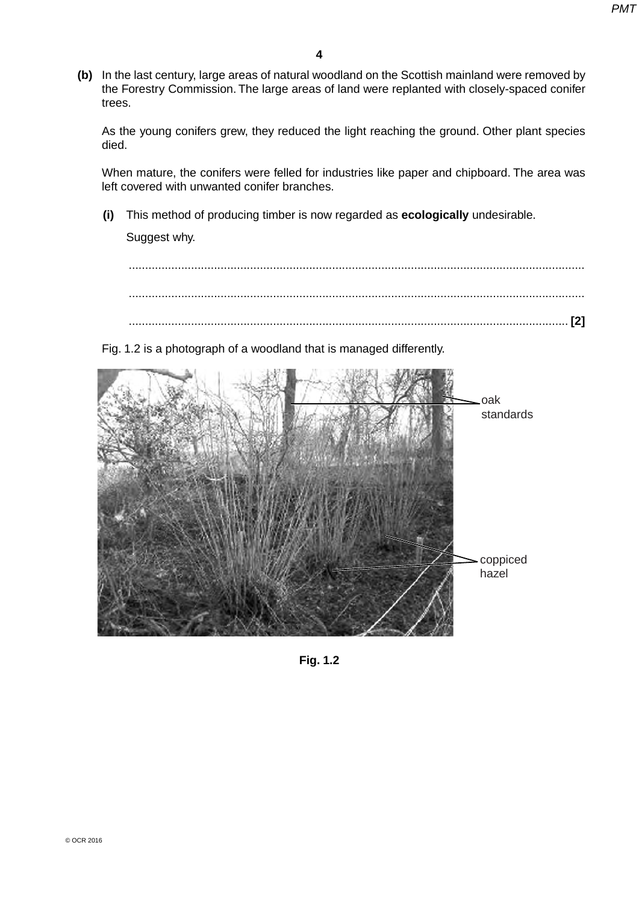**(b)** In the last century, large areas of natural woodland on the Scottish mainland were removed by the Forestry Commission. The large areas of land were replanted with closely-spaced conifer trees.

As the young conifers grew, they reduced the light reaching the ground. Other plant species died.

When mature, the conifers were felled for industries like paper and chipboard. The area was left covered with unwanted conifer branches.

 **(i)** This method of producing timber is now regarded as **ecologically** undesirable.

Suggest why.

 ........................................................................................................................................... ........................................................................................................................................... ...................................................................................................................................... **[2]**

Fig. 1.2 is a photograph of a woodland that is managed differently.



**Fig. 1.2**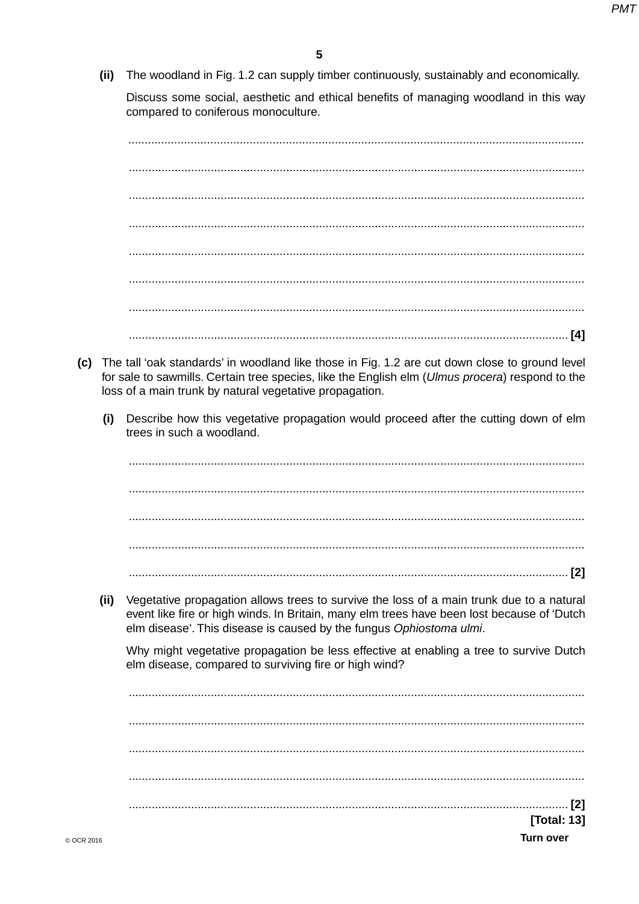(ii) The woodland in Fig. 1.2 can supply timber continuously, sustainably and economically.

Discuss some social, aesthetic and ethical benefits of managing woodland in this way compared to coniferous monoculture.

- (c) The tall 'oak standards' in woodland like those in Fig. 1.2 are cut down close to ground level for sale to sawmills. Certain tree species, like the English elm (Ulmus procera) respond to the loss of a main trunk by natural vegetative propagation.
	- Describe how this vegetative propagation would proceed after the cutting down of elm  $(i)$ trees in such a woodland.

 $(ii)$ Vegetative propagation allows trees to survive the loss of a main trunk due to a natural event like fire or high winds. In Britain, many elm trees have been lost because of 'Dutch elm disease'. This disease is caused by the fungus Ophiostoma ulmi.

Why might vegetative propagation be less effective at enabling a tree to survive Dutch elm disease, compared to surviving fire or high wind?

[Total: 13] **Turn over**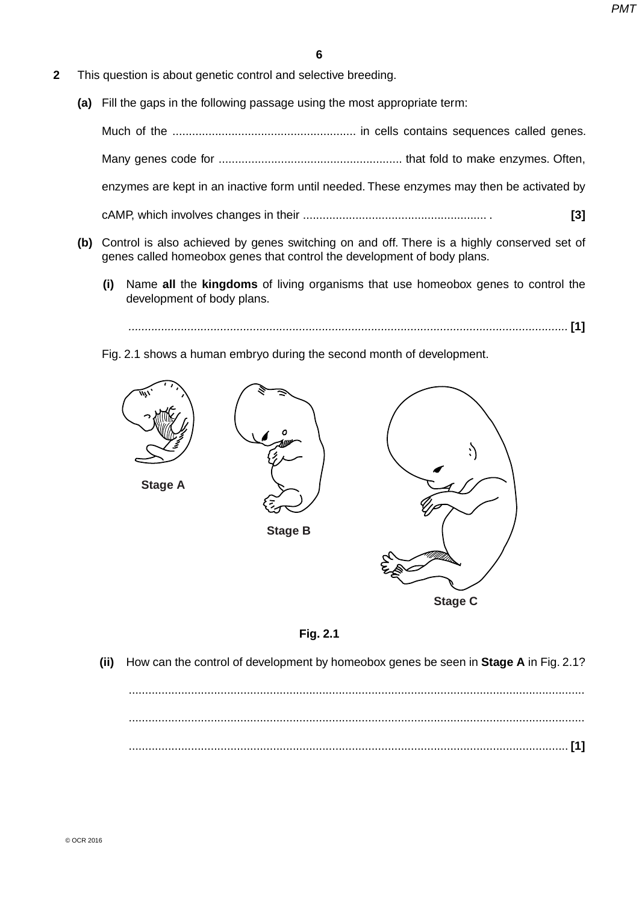- **2** This question is about genetic control and selective breeding.
	- **(a)** Fill the gaps in the following passage using the most appropriate term:

Much of the ........................................................ in cells contains sequences called genes.

Many genes code for ........................................................ that fold to make enzymes. Often,

enzymes are kept in an inactive form until needed. These enzymes may then be activated by

cAMP, which involves changes in their ........................................................ . **[3]**

- **(b)** Control is also achieved by genes switching on and off. There is a highly conserved set of genes called homeobox genes that control the development of body plans.
	- **(i)** Name **all** the **kingdoms** of living organisms that use homeobox genes to control the development of body plans.
		- *......................................................................................................................................* **[1]**

Fig. 2.1 shows a human embryo during the second month of development.





 **(ii)** How can the control of development by homeobox genes be seen in **Stage A** in Fig. 2.1?

 ........................................................................................................................................... ........................................................................................................................................... ...................................................................................................................................... **[1]**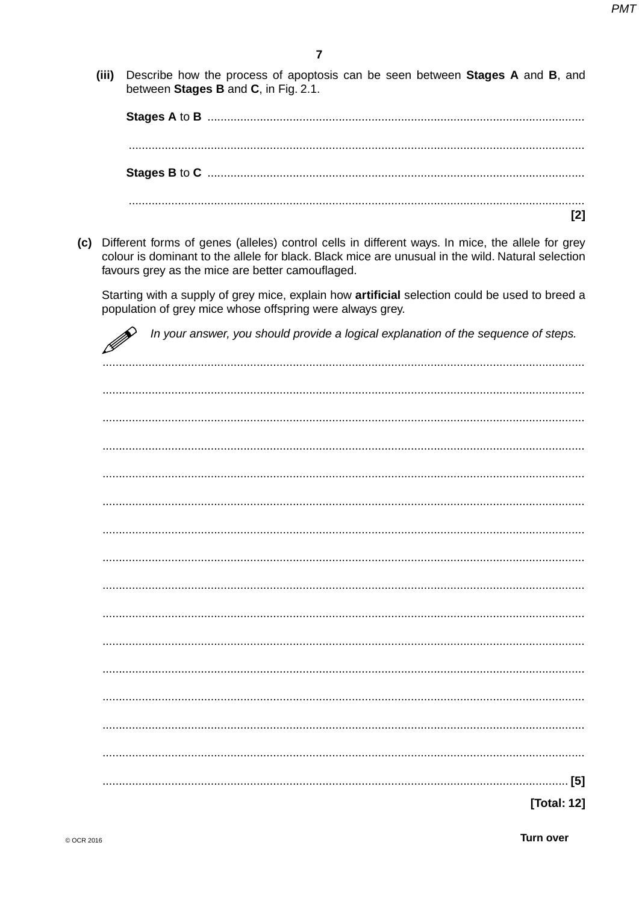$(iii)$ Describe how the process of apoptosis can be seen between **Stages A** and **B**, and between Stages B and C, in Fig. 2.1.

 $\overline{a_1}$  , and the contribution of the contribution of the contribution of the contribution of the contribution of  $\overline{a_1}$  $[2]$ 

(c) Different forms of genes (alleles) control cells in different ways. In mice, the allele for grey colour is dominant to the allele for black. Black mice are unusual in the wild. Natural selection favours grey as the mice are better camouflaged.

Starting with a supply of grey mice, explain how artificial selection could be used to breed a population of grey mice whose offspring were always grey.

In your answer, you should provide a logical explanation of the sequence of steps.

[Total: 12]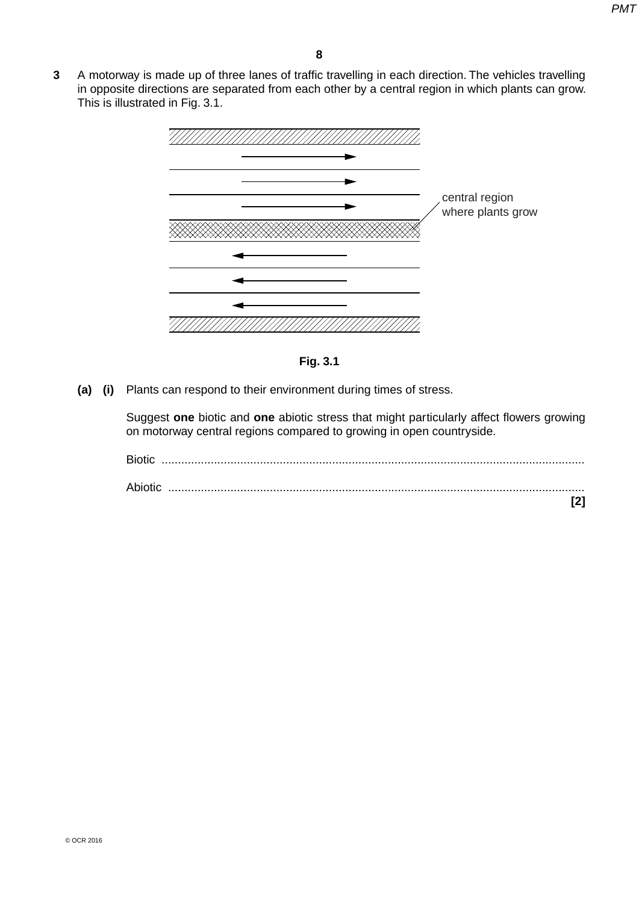**3** A motorway is made up of three lanes of traffic travelling in each direction. The vehicles travelling in opposite directions are separated from each other by a central region in which plants can grow. This is illustrated in Fig. 3.1.



**Fig. 3.1**

 **(a) (i)** Plants can respond to their environment during times of stress.

Suggest **one** biotic and **one** abiotic stress that might particularly affect flowers growing on motorway central regions compared to growing in open countryside.

| <b>Biotic</b> |  |
|---------------|--|
| Abiotic       |  |
|               |  |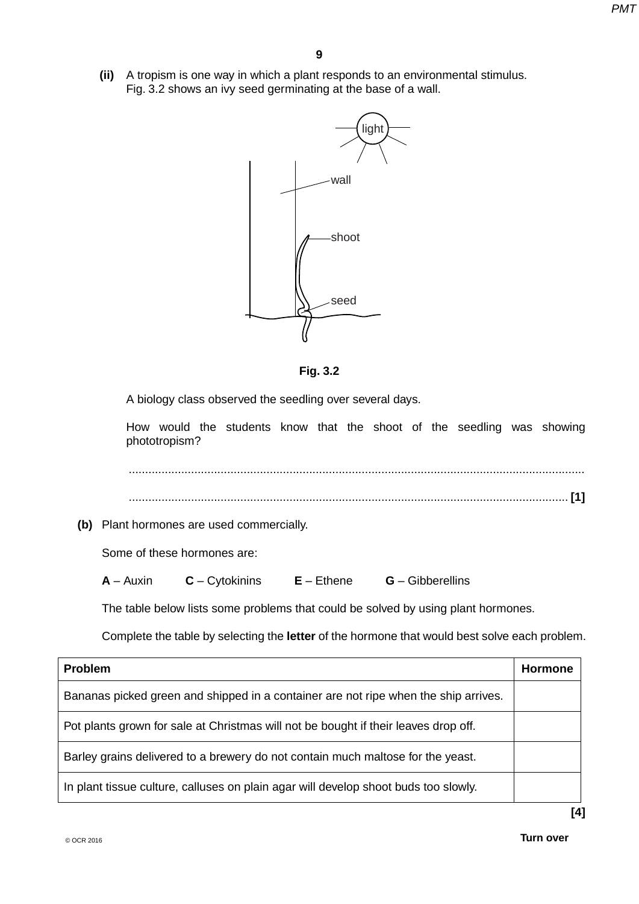**(ii)** A tropism is one way in which a plant responds to an environmental stimulus. Fig. 3.2 shows an ivy seed germinating at the base of a wall.



**Fig. 3.2**

A biology class observed the seedling over several days.

How would the students know that the shoot of the seedling was showing phototropism?

 ........................................................................................................................................... ...................................................................................................................................... **[1]**

 **(b)** Plant hormones are used commercially.

Some of these hormones are:

 **A** – Auxin **C** – Cytokinins **E** – Ethene **G** – Gibberellins

The table below lists some problems that could be solved by using plant hormones.

Complete the table by selecting the **letter** of the hormone that would best solve each problem.

| <b>Problem</b>                                                                      | <b>Hormone</b> |
|-------------------------------------------------------------------------------------|----------------|
| Bananas picked green and shipped in a container are not ripe when the ship arrives. |                |
| Pot plants grown for sale at Christmas will not be bought if their leaves drop off. |                |
| Barley grains delivered to a brewery do not contain much maltose for the yeast.     |                |
| In plant tissue culture, calluses on plain agar will develop shoot buds too slowly. |                |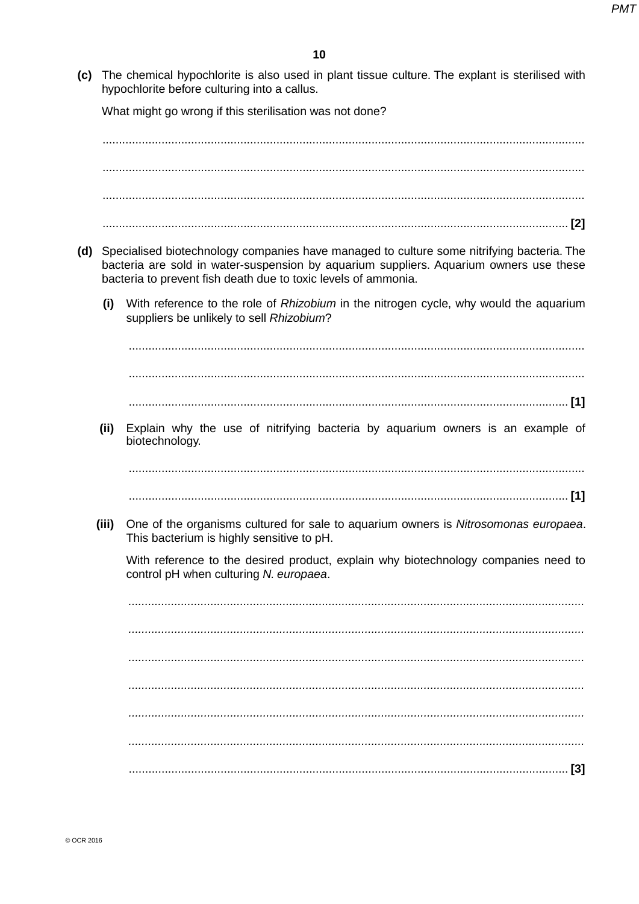(c) The chemical hypochlorite is also used in plant tissue culture. The explant is sterilised with hypochlorite before culturing into a callus.

What might go wrong if this sterilisation was not done?

(d) Specialised biotechnology companies have managed to culture some nitrifying bacteria. The bacteria are sold in water-suspension by aquarium suppliers. Aquarium owners use these bacteria to prevent fish death due to toxic levels of ammonia. With reference to the role of Rhizobium in the nitrogen cycle, why would the aquarium  $(i)$ suppliers be unlikely to sell Rhizobium? Explain why the use of nitrifying bacteria by aquarium owners is an example of  $(ii)$ biotechnology. (iii) One of the organisms cultured for sale to aguarium owners is Nitrosomonas europaea. This bacterium is highly sensitive to pH. With reference to the desired product, explain why biotechnology companies need to control pH when culturing N. europaea.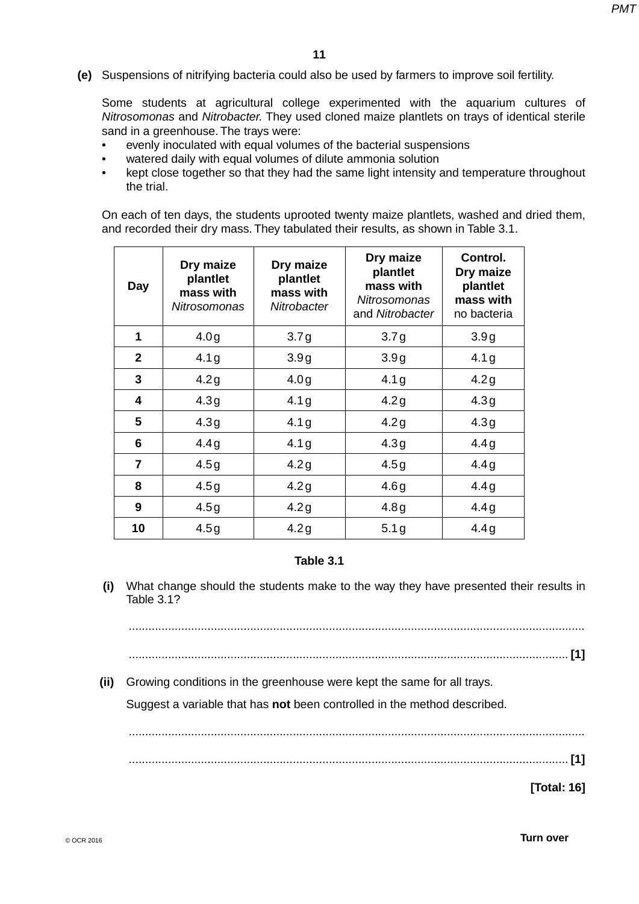**(e)** Suspensions of nitrifying bacteria could also be used by farmers to improve soil fertility.

Some students at agricultural college experimented with the aquarium cultures of *Nitrosomonas* and *Nitrobacter.* They used cloned maize plantlets on trays of identical sterile sand in a greenhouse. The trays were:

- evenly inoculated with equal volumes of the bacterial suspensions
- watered daily with equal volumes of dilute ammonia solution
- kept close together so that they had the same light intensity and temperature throughout the trial.

On each of ten days, the students uprooted twenty maize plantlets, washed and dried them, and recorded their dry mass. They tabulated their results, as shown in Table 3.1.

| <b>Day</b>     | Dry maize<br>plantlet<br>mass with<br>Nitrosomonas | Dry maize<br>plantlet<br>mass with<br>Nitrobacter | Dry maize<br>plantlet<br>mass with<br><b>Nitrosomonas</b><br>and Nitrobacter | Control.<br>Dry maize<br>plantlet<br>mass with<br>no bacteria |
|----------------|----------------------------------------------------|---------------------------------------------------|------------------------------------------------------------------------------|---------------------------------------------------------------|
| 1              | 4.0 <sub>g</sub>                                   | 3.7 <sub>g</sub>                                  | 3.7 <sub>g</sub>                                                             | 3.9g                                                          |
| $\mathbf{2}$   | 4.1 <sub>g</sub>                                   | 3.9g                                              | 3.9g                                                                         | 4.1 <sub>g</sub>                                              |
| 3              | 4.2g                                               | 4.0 <sub>g</sub>                                  | 4.1 <sub>g</sub>                                                             | 4.2g                                                          |
| 4              | 4.3g                                               | 4.1 <sub>g</sub>                                  | 4.2g                                                                         | 4.3g                                                          |
| 5              | 4.3g                                               | 4.1 <sub>g</sub>                                  | 4.2g                                                                         | 4.3g                                                          |
| 6              | 4.4g                                               | 4.1 <sub>g</sub>                                  | 4.3g                                                                         | 4.4g                                                          |
| $\overline{7}$ | 4.5g                                               | 4.2g                                              | 4.5g                                                                         | 4.4g                                                          |
| 8              | 4.5g                                               | 4.2g                                              | 4.6g                                                                         | 4.4g                                                          |
| 9              | 4.5g                                               | 4.2g                                              | 4.8g                                                                         | 4.4g                                                          |
| 10             | 4.5g                                               | 4.2g                                              | 5.1 <sub>g</sub>                                                             | 4.4g                                                          |

#### **Table 3.1**

 **(i)** What change should the students make to the way they have presented their results in Table 3.1?

...........................................................................................................................................

- ...................................................................................................................................... **[1]**
- **(ii)** Growing conditions in the greenhouse were kept the same for all trays.

Suggest a variable that has **not** been controlled in the method described.

...................................................................................................................................... **[1]**

...........................................................................................................................................

**[Total: 16]**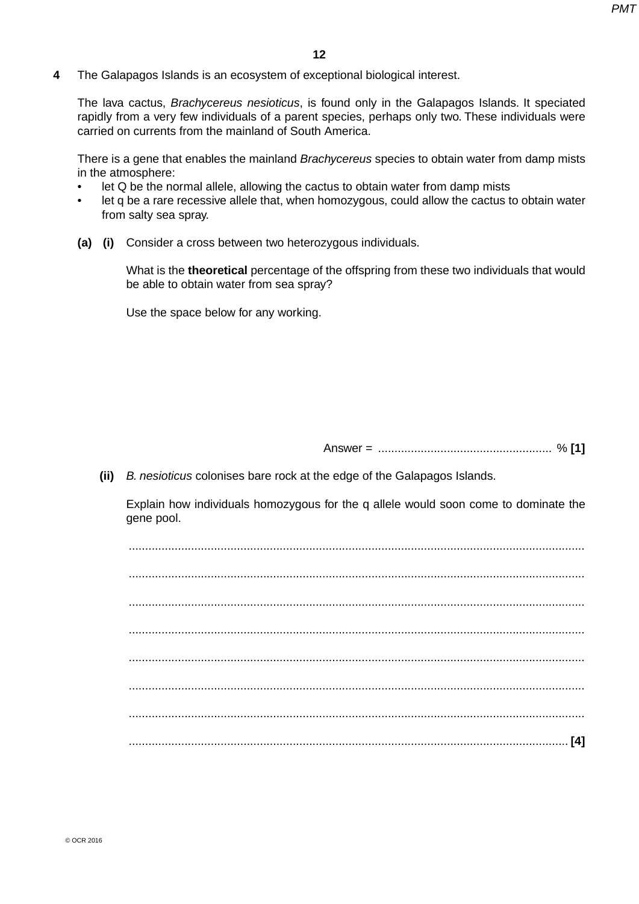**4** The Galapagos Islands is an ecosystem of exceptional biological interest.

The lava cactus, *Brachycereus nesioticus*, is found only in the Galapagos Islands. It speciated rapidly from a very few individuals of a parent species, perhaps only two. These individuals were carried on currents from the mainland of South America.

There is a gene that enables the mainland *Brachycereus* species to obtain water from damp mists in the atmosphere:

- let Q be the normal allele, allowing the cactus to obtain water from damp mists
- let q be a rare recessive allele that, when homozygous, could allow the cactus to obtain water from salty sea spray.
- **(a) (i)** Consider a cross between two heterozygous individuals.

What is the **theoretical** percentage of the offspring from these two individuals that would be able to obtain water from sea spray?

Use the space below for any working.

Answer = ..................................................... % **[1]**

 **(ii)** *B. nesioticus* colonises bare rock at the edge of the Galapagos Islands.

Explain how individuals homozygous for the q allele would soon come to dominate the gene pool.

 ........................................................................................................................................... ........................................................................................................................................... ........................................................................................................................................... ........................................................................................................................................... ........................................................................................................................................... ........................................................................................................................................... ........................................................................................................................................... ...................................................................................................................................... **[4]**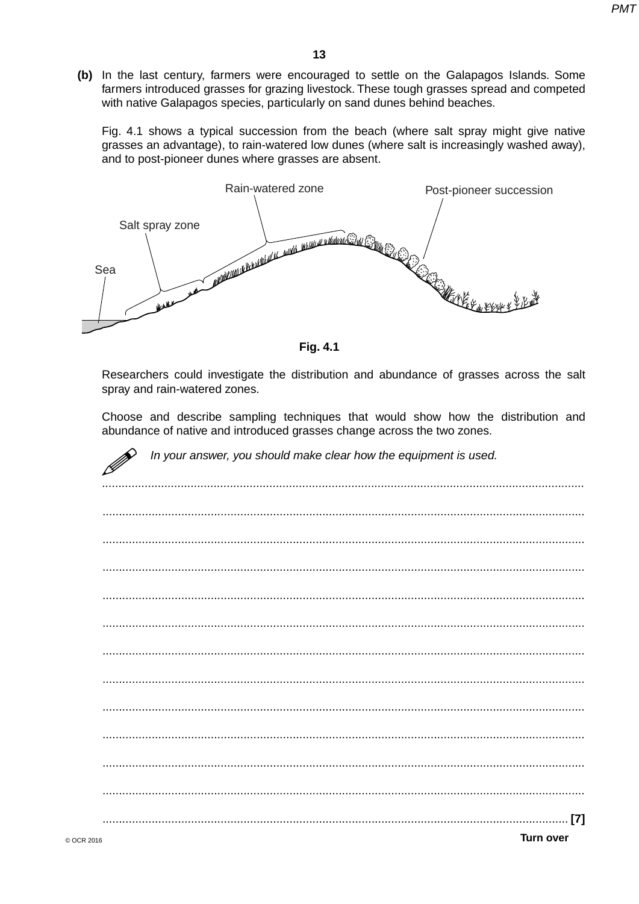(b) In the last century, farmers were encouraged to settle on the Galapagos Islands. Some farmers introduced grasses for grazing livestock. These tough grasses spread and competed with native Galapagos species, particularly on sand dunes behind beaches.

Fig. 4.1 shows a typical succession from the beach (where salt spray might give native grasses an advantage), to rain-watered low dunes (where salt is increasingly washed away), and to post-pioneer dunes where grasses are absent.



**Fig. 4.1** 

Researchers could investigate the distribution and abundance of grasses across the salt spray and rain-watered zones.

Choose and describe sampling techniques that would show how the distribution and abundance of native and introduced grasses change across the two zones.

| In your answer, you should make clear how the equipment is used. |
|------------------------------------------------------------------|
|                                                                  |
|                                                                  |
|                                                                  |
|                                                                  |
|                                                                  |
|                                                                  |
|                                                                  |
|                                                                  |
|                                                                  |
|                                                                  |
|                                                                  |
| [7]                                                              |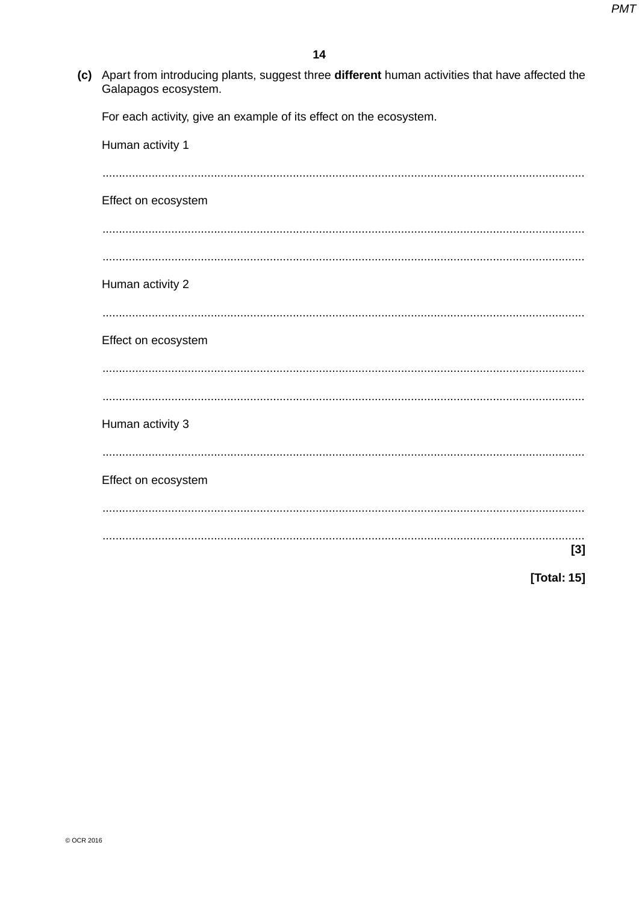(c) Apart from introducing plants, suggest three different human activities that have affected the Galapagos ecosystem.

For each activity, give an example of its effect on the ecosystem.

| Human activity 1    |             |
|---------------------|-------------|
|                     |             |
| Effect on ecosystem |             |
|                     |             |
|                     |             |
| Human activity 2    |             |
|                     |             |
| Effect on ecosystem |             |
|                     |             |
|                     |             |
| Human activity 3    |             |
|                     |             |
| Effect on ecosystem |             |
|                     |             |
|                     |             |
|                     | $[3]$       |
|                     | [Total: 15] |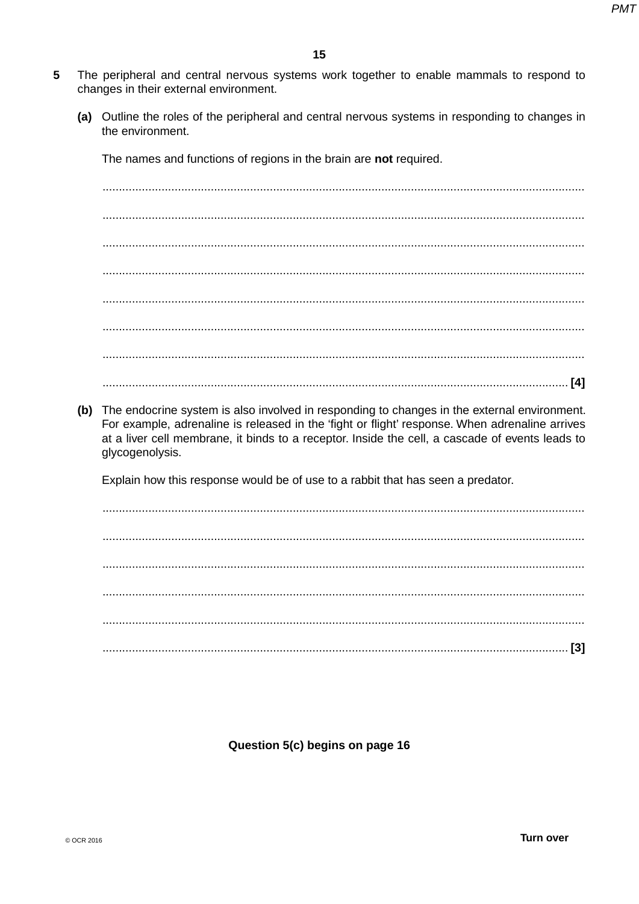- 5 The peripheral and central nervous systems work together to enable mammals to respond to changes in their external environment.
	- (a) Outline the roles of the peripheral and central nervous systems in responding to changes in the environment.

The names and functions of regions in the brain are not required.

(b) The endocrine system is also involved in responding to changes in the external environment. For example, adrenaline is released in the 'fight or flight' response. When adrenaline arrives at a liver cell membrane, it binds to a receptor. Inside the cell, a cascade of events leads to glycogenolysis.

Explain how this response would be of use to a rabbit that has seen a predator.

Question 5(c) begins on page 16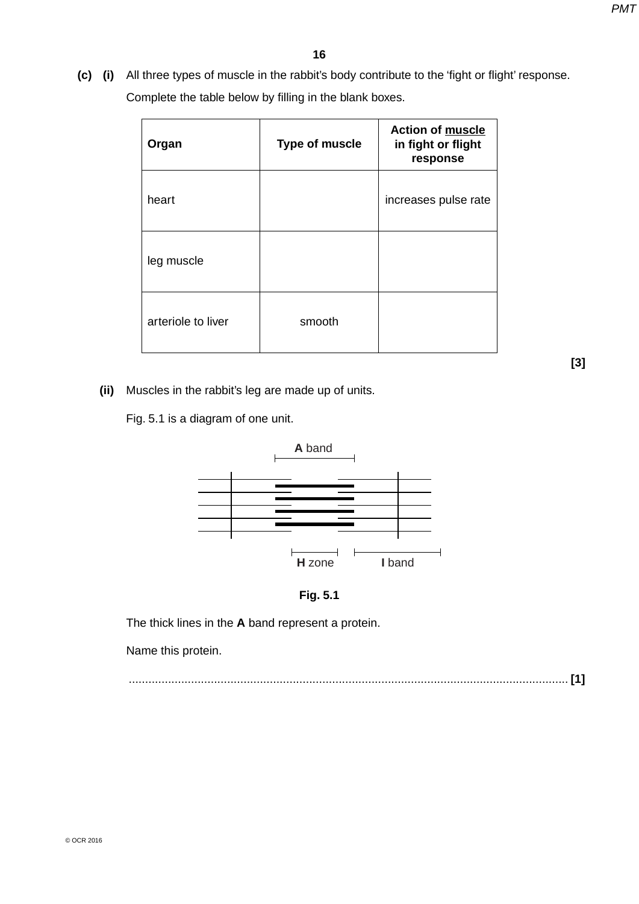**(c) (i)** All three types of muscle in the rabbit's body contribute to the 'fight or flight' response. Complete the table below by filling in the blank boxes.

| Organ              | <b>Type of muscle</b> | <b>Action of muscle</b><br>in fight or flight<br>response |
|--------------------|-----------------------|-----------------------------------------------------------|
| heart              |                       | increases pulse rate                                      |
| leg muscle         |                       |                                                           |
| arteriole to liver | smooth                |                                                           |

**[3]**

 **(ii)** Muscles in the rabbit's leg are made up of units.

Fig. 5.1 is a diagram of one unit.





The thick lines in the **A** band represent a protein.

Name this protein.

...................................................................................................................................... **[1]**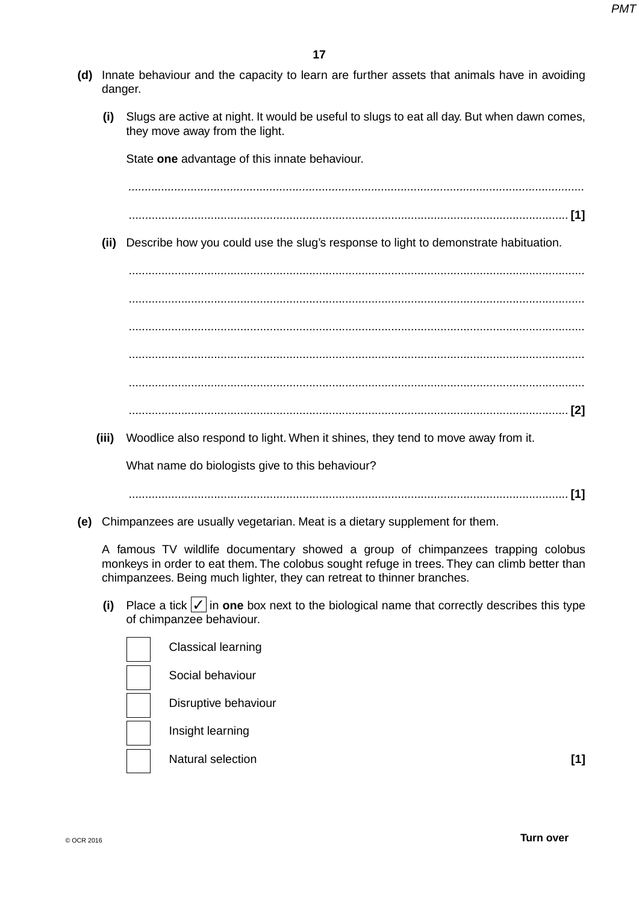- **(d)** Innate behaviour and the capacity to learn are further assets that animals have in avoiding danger.
	- **(i)** Slugs are active at night. It would be useful to slugs to eat all day. But when dawn comes, they move away from the light.

State **one** advantage of this innate behaviour.

 *...........................................................................................................................................*

- ...................................................................................................................................... **[1]**
- **(ii)** Describe how you could use the slug's response to light to demonstrate habituation.

 ........................................................................................................................................... ........................................................................................................................................... ........................................................................................................................................... ........................................................................................................................................... ........................................................................................................................................... ...................................................................................................................................... **[2]**

 **(iii)** Woodlice also respond to light. When it shines, they tend to move away from it.

What name do biologists give to this behaviour?

...................................................................................................................................... **[1]**

 **(e)** Chimpanzees are usually vegetarian. Meat is a dietary supplement for them.

A famous TV wildlife documentary showed a group of chimpanzees trapping colobus monkeys in order to eat them. The colobus sought refuge in trees. They can climb better than chimpanzees. Being much lighter, they can retreat to thinner branches.

 **(i)** Place a tick ✓ in **one** box next to the biological name that correctly describes this type of chimpanzee behaviour.

| <b>Classical learning</b> |     |
|---------------------------|-----|
| Social behaviour          |     |
| Disruptive behaviour      |     |
| Insight learning          |     |
| Natural selection         | [1] |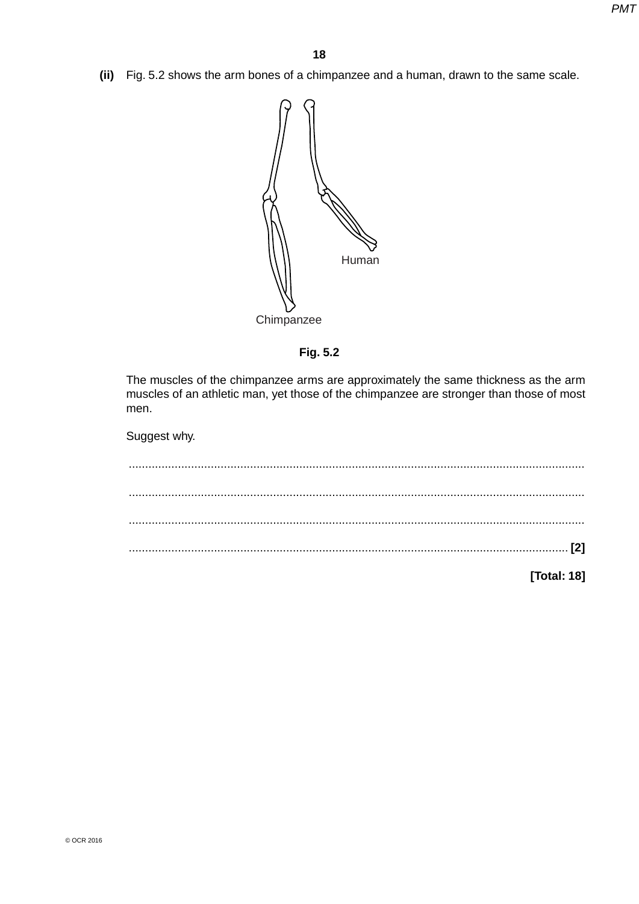**(ii)** Fig. 5.2 shows the arm bones of a chimpanzee and a human, drawn to the same scale.



**Fig. 5.2**

The muscles of the chimpanzee arms are approximately the same thickness as the arm muscles of an athletic man, yet those of the chimpanzee are stronger than those of most men.

Suggest why.

| [Total: 18] |  |
|-------------|--|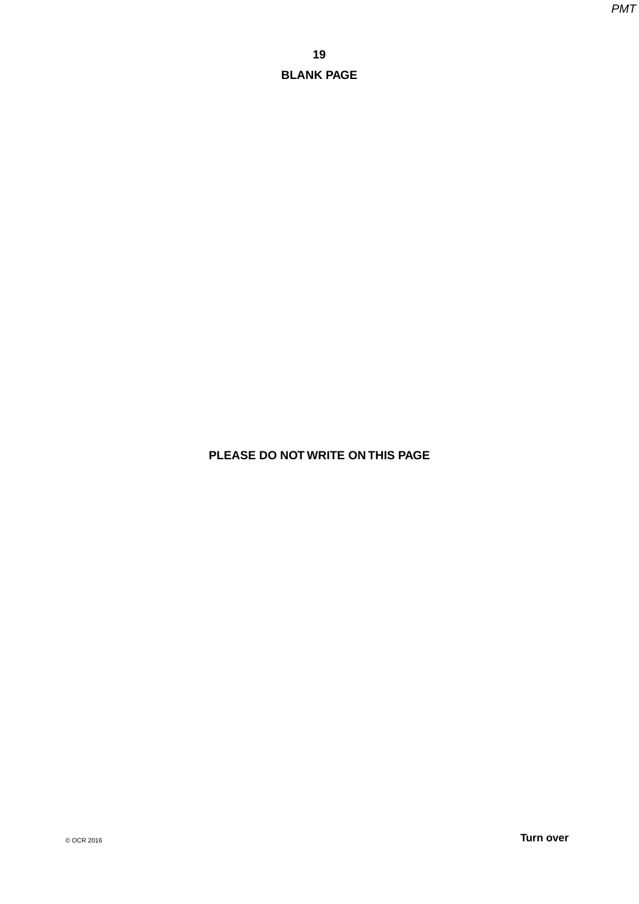# **PLEASE DO NOT WRITE ON THIS PAGE**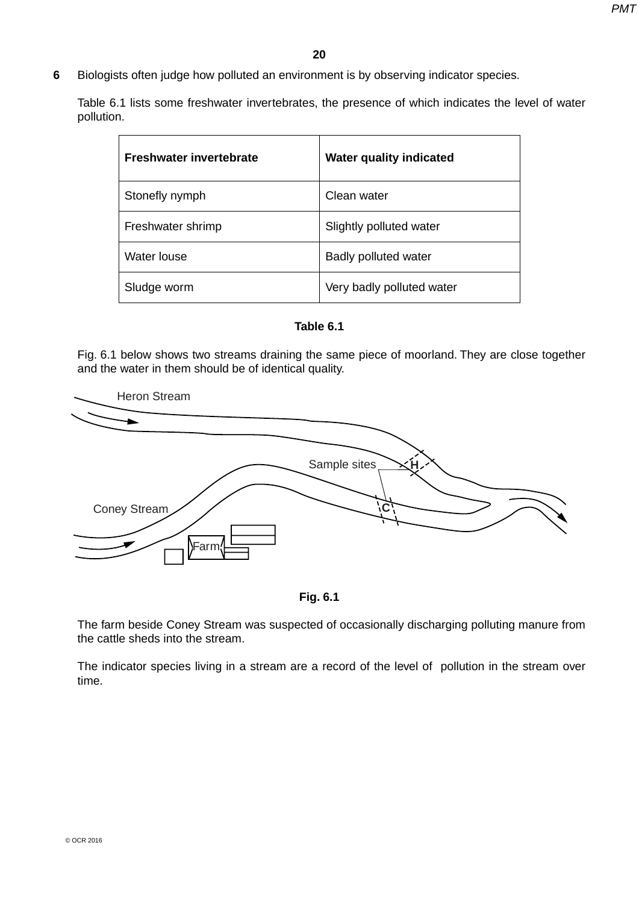**6** Biologists often judge how polluted an environment is by observing indicator species.

Table 6.1 lists some freshwater invertebrates, the presence of which indicates the level of water pollution.

| <b>Freshwater invertebrate</b> | <b>Water quality indicated</b> |
|--------------------------------|--------------------------------|
| Stonefly nymph                 | Clean water                    |
| Freshwater shrimp              | Slightly polluted water        |
| Water louse                    | <b>Badly polluted water</b>    |
| Sludge worm                    | Very badly polluted water      |



Fig. 6.1 below shows two streams draining the same piece of moorland. They are close together and the water in them should be of identical quality.





The farm beside Coney Stream was suspected of occasionally discharging polluting manure from the cattle sheds into the stream.

The indicator species living in a stream are a record of the level of pollution in the stream over time.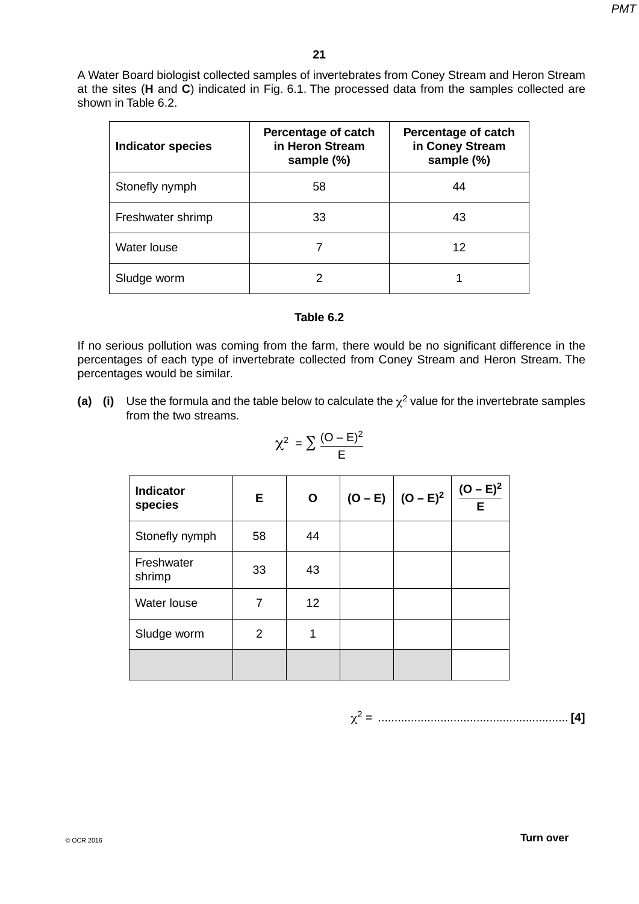A Water Board biologist collected samples of invertebrates from Coney Stream and Heron Stream at the sites (**H** and **C**) indicated in Fig. 6.1. The processed data from the samples collected are shown in Table 6.2.

| <b>Indicator species</b> | Percentage of catch<br>in Heron Stream<br>sample (%) | <b>Percentage of catch</b><br>in Coney Stream<br>sample (%) |  |
|--------------------------|------------------------------------------------------|-------------------------------------------------------------|--|
| Stonefly nymph           | 58                                                   | 44                                                          |  |
| Freshwater shrimp        | 33                                                   | 43                                                          |  |
| Water louse              |                                                      | 12                                                          |  |
| Sludge worm              |                                                      |                                                             |  |

#### **Table 6.2**

If no serious pollution was coming from the farm, there would be no significant difference in the percentages of each type of invertebrate collected from Coney Stream and Heron Stream. The percentages would be similar.

**(a) (i)** Use the formula and the table below to calculate the  $\chi^2$  value for the invertebrate samples from the two streams.

| <b>Indicator</b><br>species | Е  | $\mathbf{o}$ | (O – E) $\Big  (O - E)^2 \Big  \frac{(O - E)^2}{E}$ |  |
|-----------------------------|----|--------------|-----------------------------------------------------|--|
| Stonefly nymph              | 58 | 44           |                                                     |  |
| Freshwater<br>shrimp        | 33 | 43           |                                                     |  |
| Water louse                 | 7  | 12           |                                                     |  |
| Sludge worm                 | 2  | 1            |                                                     |  |
|                             |    |              |                                                     |  |

$$
\chi^2 = \sum \frac{(O - E)^2}{E}
$$

χ2 = .......................................................... **[4]**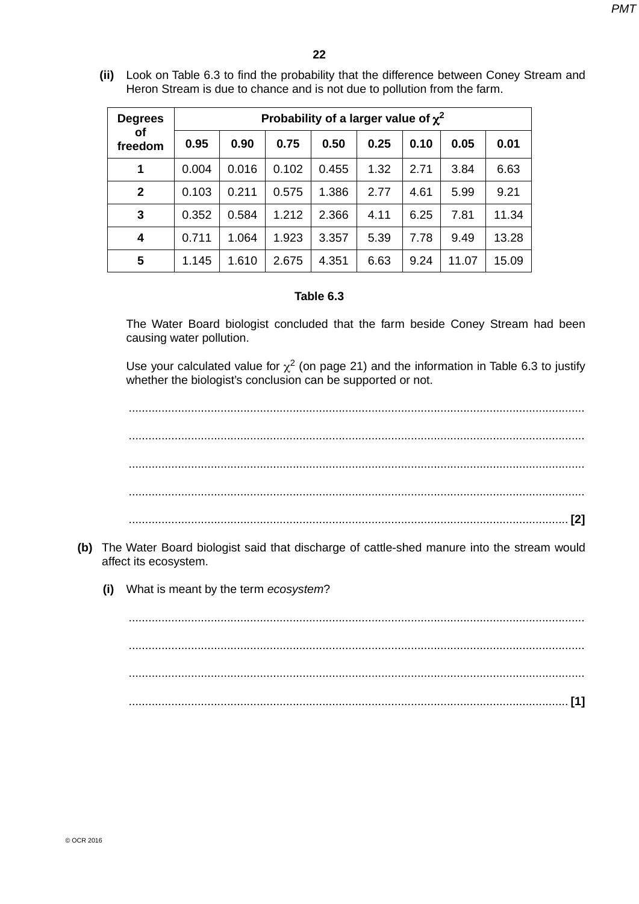**(ii)** Look on Table 6.3 to find the probability that the difference between Coney Stream and Heron Stream is due to chance and is not due to pollution from the farm.

| <b>Degrees</b><br>οf<br>freedom | Probability of a larger value of $\chi^2$ |       |       |       |      |      |       |       |  |
|---------------------------------|-------------------------------------------|-------|-------|-------|------|------|-------|-------|--|
|                                 | 0.95                                      | 0.90  | 0.75  | 0.50  | 0.25 | 0.10 | 0.05  | 0.01  |  |
| 1                               | 0.004                                     | 0.016 | 0.102 | 0.455 | 1.32 | 2.71 | 3.84  | 6.63  |  |
| $\mathbf{2}$                    | 0.103                                     | 0.211 | 0.575 | 1.386 | 2.77 | 4.61 | 5.99  | 9.21  |  |
| 3                               | 0.352                                     | 0.584 | 1.212 | 2.366 | 4.11 | 6.25 | 7.81  | 11.34 |  |
| 4                               | 0.711                                     | 1.064 | 1.923 | 3.357 | 5.39 | 7.78 | 9.49  | 13.28 |  |
| 5                               | 1.145                                     | 1.610 | 2.675 | 4.351 | 6.63 | 9.24 | 11.07 | 15.09 |  |

## **Table 6.3**

The Water Board biologist concluded that the farm beside Coney Stream had been causing water pollution.

Use your calculated value for  $\chi^2$  (on page 21) and the information in Table 6.3 to justify whether the biologist's conclusion can be supported or not.

 ........................................................................................................................................... ........................................................................................................................................... ........................................................................................................................................... ........................................................................................................................................... ...................................................................................................................................... **[2]**

- **(b)** The Water Board biologist said that discharge of cattle-shed manure into the stream would affect its ecosystem.
	- **(i)** What is meant by the term *ecosystem*?

 ........................................................................................................................................... ........................................................................................................................................... ........................................................................................................................................... ...................................................................................................................................... **[1]**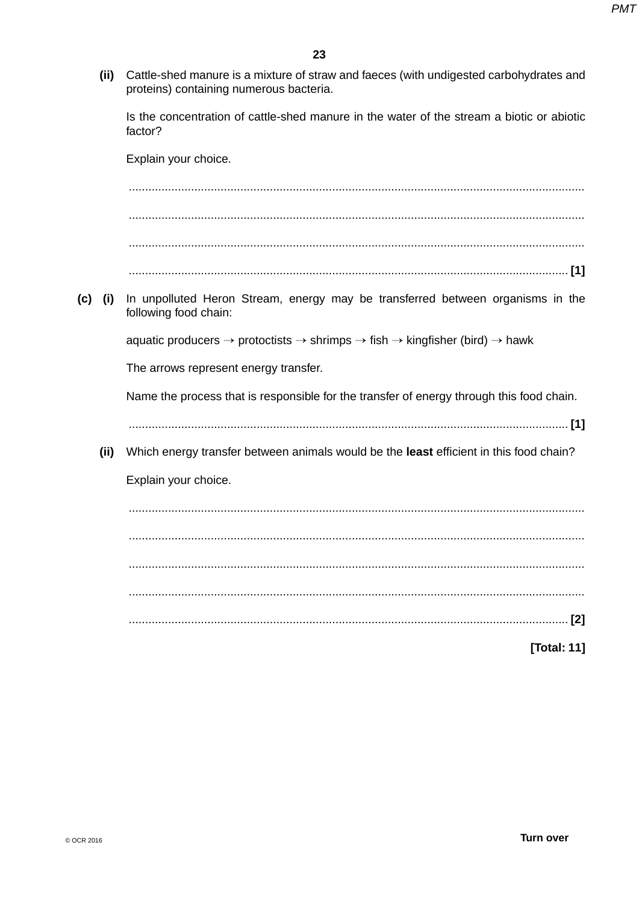(ii) Cattle-shed manure is a mixture of straw and faeces (with undigested carbohydrates and proteins) containing numerous bacteria.

Is the concentration of cattle-shed manure in the water of the stream a biotic or abiotic factor?

Explain your choice. In unpolluted Heron Stream, energy may be transferred between organisms in the  $(c)$  (i) following food chain: aquatic producers  $\rightarrow$  protoctists  $\rightarrow$  shrimps  $\rightarrow$  fish  $\rightarrow$  kingfisher (bird)  $\rightarrow$  hawk The arrows represent energy transfer. Name the process that is responsible for the transfer of energy through this food chain. (ii) Which energy transfer between animals would be the least efficient in this food chain? Explain your choice. 

**[Total: 11]**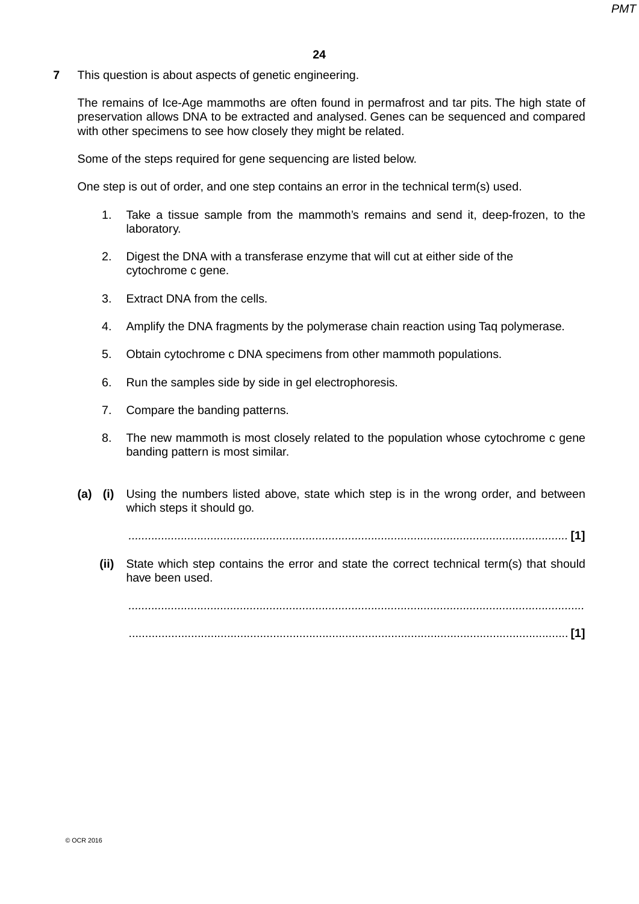**7** This question is about aspects of genetic engineering.

The remains of Ice-Age mammoths are often found in permafrost and tar pits. The high state of preservation allows DNA to be extracted and analysed. Genes can be sequenced and compared with other specimens to see how closely they might be related.

Some of the steps required for gene sequencing are listed below.

One step is out of order, and one step contains an error in the technical term(s) used.

- 1. Take a tissue sample from the mammoth's remains and send it, deep-frozen, to the laboratory.
- 2. Digest the DNA with a transferase enzyme that will cut at either side of the cytochrome c gene.
- 3. Extract DNA from the cells.
- 4. Amplify the DNA fragments by the polymerase chain reaction using Taq polymerase.
- 5. Obtain cytochrome c DNA specimens from other mammoth populations.
- 6. Run the samples side by side in gel electrophoresis.
- 7. Compare the banding patterns.
- 8. The new mammoth is most closely related to the population whose cytochrome c gene banding pattern is most similar.
- **(a) (i)** Using the numbers listed above, state which step is in the wrong order, and between which steps it should go.

 *......................................................................................................................................* **[1]**

 **(ii)** State which step contains the error and state the correct technical term(s) that should have been used.

 *...........................................................................................................................................* ...................................................................................................................................... **[1]**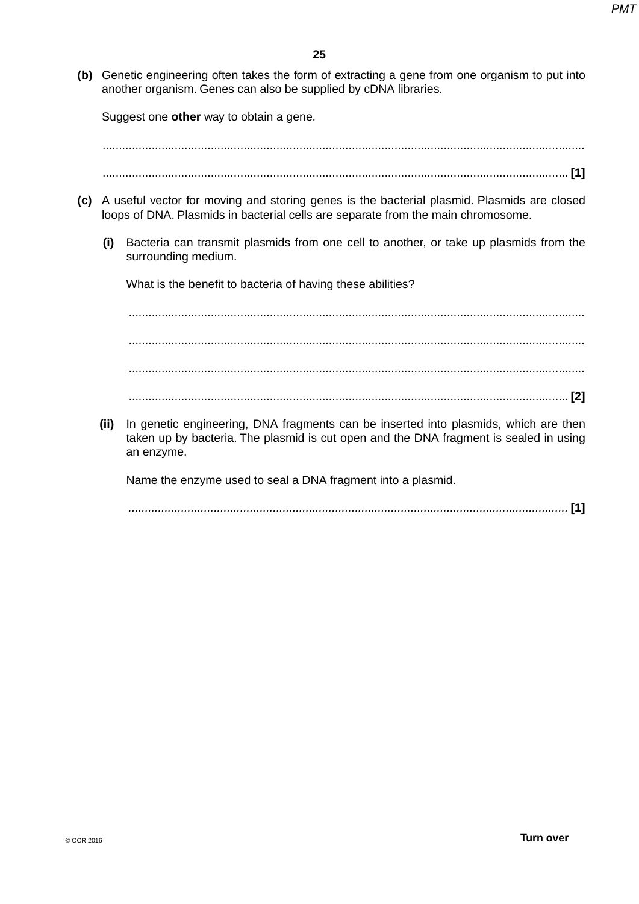**(b)** Genetic engineering often takes the form of extracting a gene from one organism to put into another organism. Genes can also be supplied by cDNA libraries.

Suggest one **other** way to obtain a gene.

...................................................................................................................................................

- .............................................................................................................................................. **[1]**
- **(c)** A useful vector for moving and storing genes is the bacterial plasmid. Plasmids are closed loops of DNA. Plasmids in bacterial cells are separate from the main chromosome.
	- **(i)** Bacteria can transmit plasmids from one cell to another, or take up plasmids from the surrounding medium.

What is the benefit to bacteria of having these abilities?

 ........................................................................................................................................... ........................................................................................................................................... ........................................................................................................................................... ...................................................................................................................................... **[2]**

 **(ii)** In genetic engineering, DNA fragments can be inserted into plasmids, which are then taken up by bacteria. The plasmid is cut open and the DNA fragment is sealed in using an enzyme.

Name the enzyme used to seal a DNA fragment into a plasmid.

 *......................................................................................................................................* **[1]**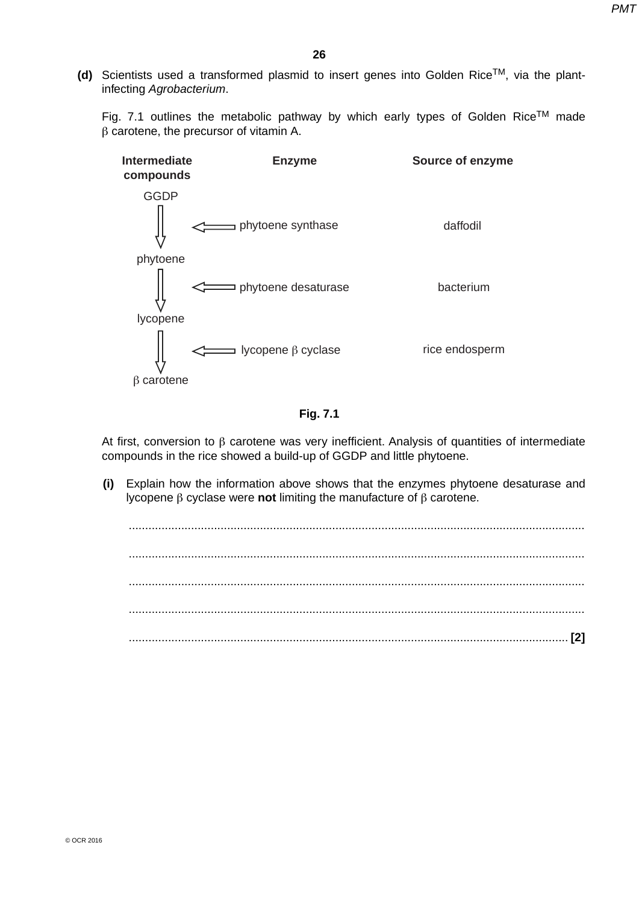**(d)** Scientists used a transformed plasmid to insert genes into Golden RiceTM, via the plantinfecting *Agrobacterium*.

Fig. 7.1 outlines the metabolic pathway by which early types of Golden Rice<sup>TM</sup> made β carotene, the precursor of vitamin A.



**Fig. 7.1**

At first, conversion to β carotene was very inefficient. Analysis of quantities of intermediate compounds in the rice showed a build-up of GGDP and little phytoene.

 **(i)** Explain how the information above shows that the enzymes phytoene desaturase and lycopene β cyclase were **not** limiting the manufacture of β carotene.

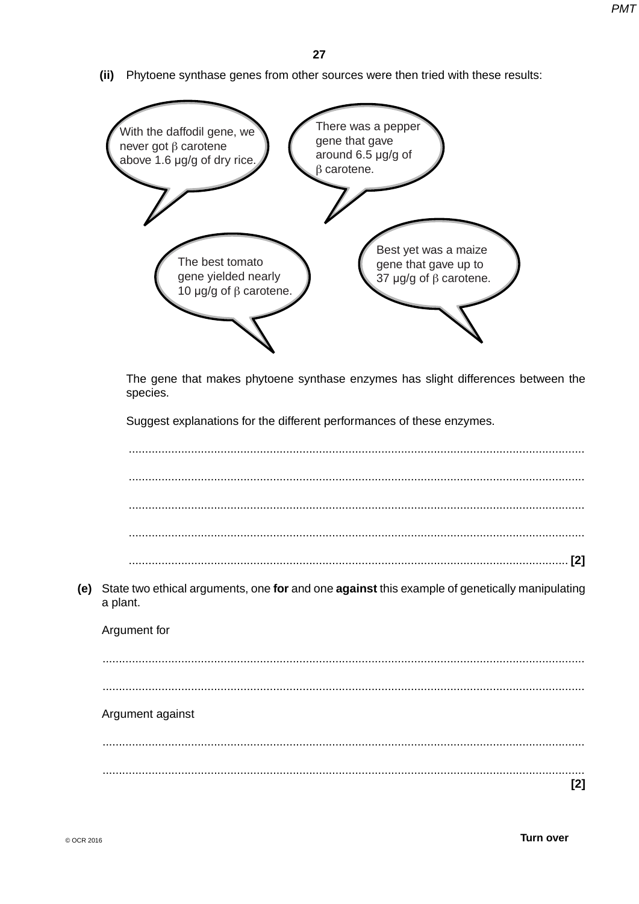(ii) Phytoene synthase genes from other sources were then tried with these results:

| There was a pepper<br>With the daffodil gene, we                                                                                                                      |
|-----------------------------------------------------------------------------------------------------------------------------------------------------------------------|
| gene that gave<br>never got $\beta$ carotene<br>around 6.5 µg/g of<br>above 1.6 µg/g of dry rice.<br>$\beta$ carotene.                                                |
|                                                                                                                                                                       |
| Best yet was a maize<br>The best tomato<br>gene that gave up to<br>gene yielded nearly<br>37 $\mu$ g/g of $\beta$ carotene.<br>10 µg/g of $\beta$ carotene.           |
| The gene that makes phytoene synthase enzymes has slight differences between the<br>species.<br>Suggest explanations for the different performances of these enzymes. |
|                                                                                                                                                                       |
|                                                                                                                                                                       |
|                                                                                                                                                                       |
| [2]                                                                                                                                                                   |
| State two ethical arguments, one for and one against this example of genetically manipulating<br>a plant.                                                             |
| Argument for                                                                                                                                                          |
|                                                                                                                                                                       |
| Argument against                                                                                                                                                      |

 $[2]$ 

 $(e)$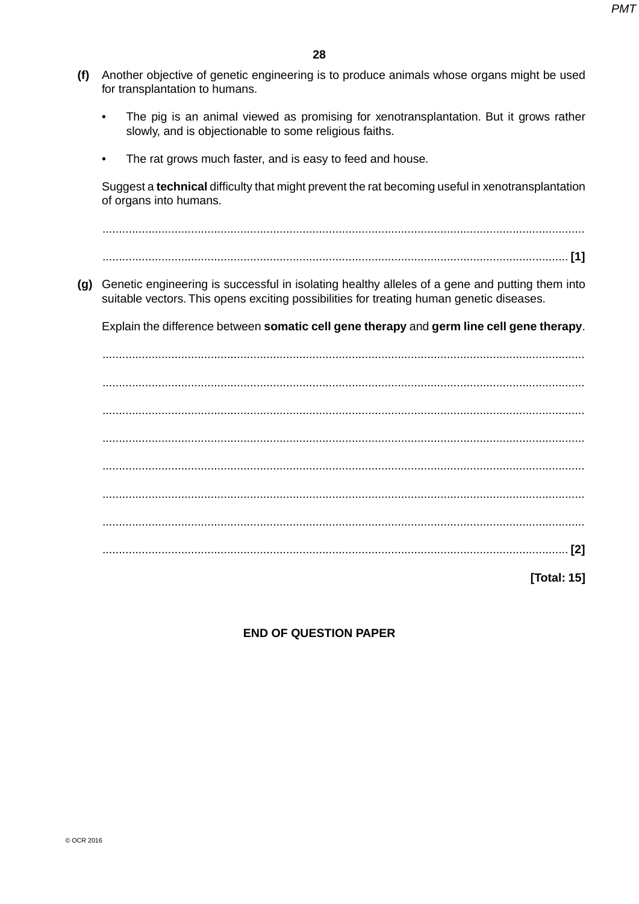- **(f)** Another objective of genetic engineering is to produce animals whose organs might be used for transplantation to humans.
	- The pig is an animal viewed as promising for xenotransplantation. But it grows rather slowly, and is objectionable to some religious faiths.
	- The rat grows much faster, and is easy to feed and house.

Suggest a **technical** difficulty that might prevent the rat becoming useful in xenotransplantation of organs into humans.

 ................................................................................................................................................... .............................................................................................................................................. **[1]**

 **(g)** Genetic engineering is successful in isolating healthy alleles of a gene and putting them into suitable vectors. This opens exciting possibilities for treating human genetic diseases.

Explain the difference between **somatic cell gene therapy** and **germ line cell gene therapy**.

 ................................................................................................................................................... ................................................................................................................................................... ................................................................................................................................................... ................................................................................................................................................... ................................................................................................................................................... ................................................................................................................................................... ................................................................................................................................................... .............................................................................................................................................. **[2]**

**[Total: 15]**

## **END OF QUESTION PAPER**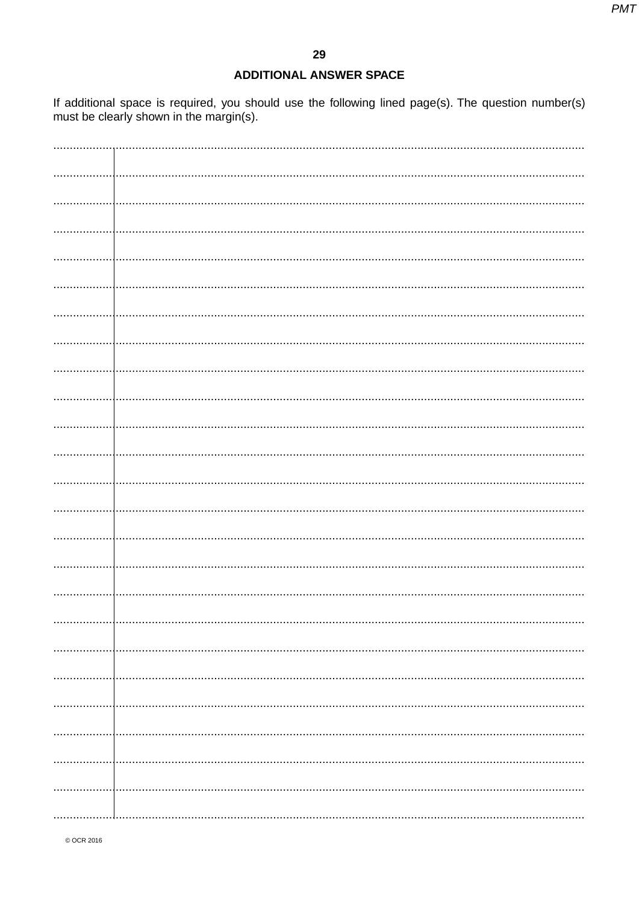## **ADDITIONAL ANSWER SPACE**

If additional space is required, you should use the following lined page(s). The question number(s) must be clearly shown in the margin(s).